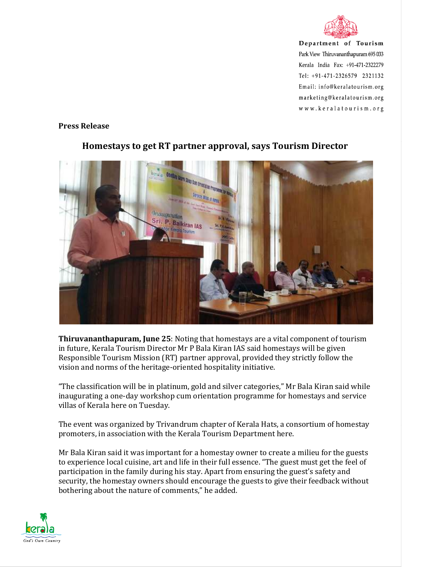

Department of Tourism Park View Thiruvananthapuram 695 033 Kerala India Fax: +91-471-2322279 Tel: +91-471-2326579 2321132 Email: info@keralatourism.org marketing@keralatourism.org www.keralatourism.org

## **Press Release**



## **Homestays to get RT partner approval, says Tourism Director**

**Thiruvananthapuram, June 25**: Noting that homestays are a vital component of tourism in future, Kerala Tourism Director Mr P Bala Kiran IAS said homestays will be given Responsible Tourism Mission (RT) partner approval, provided they strictly follow the vision and norms of the heritage-oriented hospitality initiative.

"The classification will be in platinum, gold and silver categories," Mr Bala Kiran said while inaugurating a one-day workshop cum orientation programme for homestays and service villas of Kerala here on Tuesday.

The event was organized by Trivandrum chapter of Kerala Hats, a consortium of homestay promoters, in association with the Kerala Tourism Department here.

Mr Bala Kiran said it was important for a homestay owner to create a milieu for the guests to experience local cuisine, art and life in their full essence. "The guest must get the feel of participation in the family during his stay. Apart from ensuring the guest's safety and security, the homestay owners should encourage the guests to give their feedback without bothering about the nature of comments," he added.